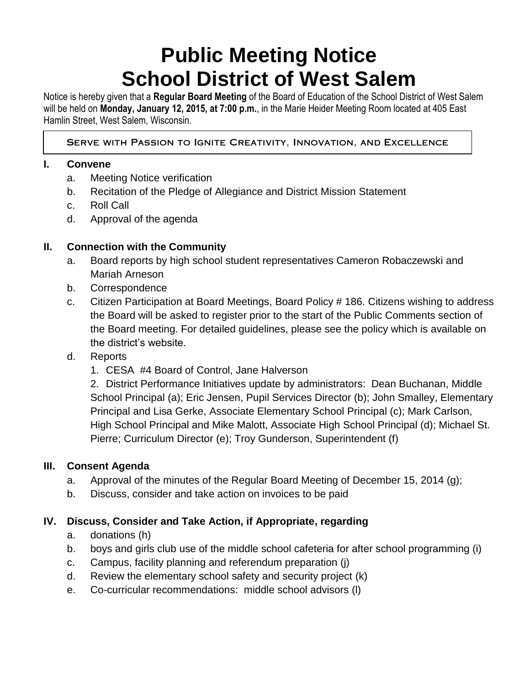# **Public Meeting Notice School District of West Salem**

Notice is hereby given that a **Regular Board Meeting** of the Board of Education of the School District of West Salem will be held on **Monday, January 12, 2015, at 7:00 p.m.**, in the Marie Heider Meeting Room located at 405 East Hamlin Street, West Salem, Wisconsin.

## SERVE WITH PASSION TO IGNITE CREATIVITY, INNOVATION, AND EXCELLENCE

# **I. Convene**

- a. Meeting Notice verification
- b. Recitation of the Pledge of Allegiance and District Mission Statement
- c. Roll Call
- d. Approval of the agenda

## **II. Connection with the Community**

- a. Board reports by high school student representatives Cameron Robaczewski and Mariah Arneson
- b. Correspondence
- c. Citizen Participation at Board Meetings, Board Policy # 186. Citizens wishing to address the Board will be asked to register prior to the start of the Public Comments section of the Board meeting. For detailed guidelines, please see the policy which is available on the district's website.
- d. Reports
	- 1. CESA #4 Board of Control, Jane Halverson

2. District Performance Initiatives update by administrators: Dean Buchanan, Middle School Principal (a); Eric Jensen, Pupil Services Director (b); John Smalley, Elementary Principal and Lisa Gerke, Associate Elementary School Principal (c); Mark Carlson, High School Principal and Mike Malott, Associate High School Principal (d); Michael St. Pierre; Curriculum Director (e); Troy Gunderson, Superintendent (f)

## **III. Consent Agenda**

- a. Approval of the minutes of the Regular Board Meeting of December 15, 2014 (g);
- b. Discuss, consider and take action on invoices to be paid

# **IV. Discuss, Consider and Take Action, if Appropriate, regarding**

- a. donations (h)
- b. boys and girls club use of the middle school cafeteria for after school programming (i)
- c. Campus, facility planning and referendum preparation (j)
- d. Review the elementary school safety and security project (k)
- e. Co-curricular recommendations: middle school advisors (l)